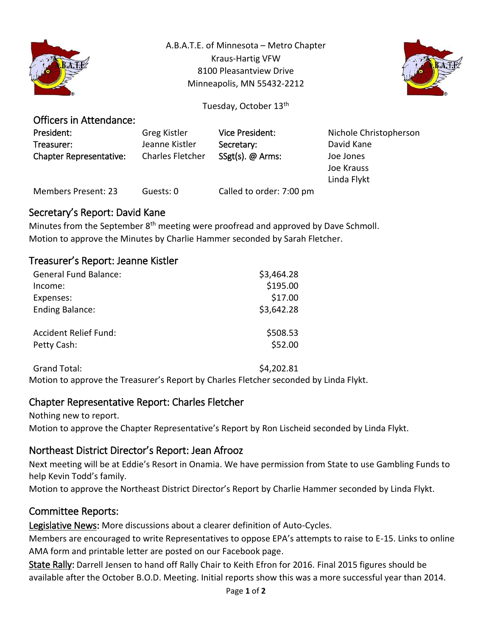

A.B.A.T.E. of Minnesota – Metro Chapter Kraus-Hartig VFW 8100 Pleasantview Drive Minneapolis, MN 55432-2212



Tuesday, October 13<sup>th</sup>

| Greg Kistler            | Vice President:          | Nichole Christopherson |
|-------------------------|--------------------------|------------------------|
| Jeanne Kistler          | Secretary:               | David Kane             |
| <b>Charles Fletcher</b> | SSgt(s). @ Arms:         | Joe Jones              |
|                         |                          | Joe Krauss             |
|                         |                          | Linda Flykt            |
| Guests: 0               | Called to order: 7:00 pm |                        |
|                         |                          |                        |

### Secretary's Report: David Kane

Officers in Attendance:

Minutes from the September 8<sup>th</sup> meeting were proofread and approved by Dave Schmoll. Motion to approve the Minutes by Charlie Hammer seconded by Sarah Fletcher.

## Treasurer's Report: Jeanne Kistler

| <b>General Fund Balance:</b> | \$3,464.28 |
|------------------------------|------------|
| Income:                      | \$195.00   |
| Expenses:                    | \$17.00    |
| <b>Ending Balance:</b>       | \$3,642.28 |
| <b>Accident Relief Fund:</b> | \$508.53   |
| Petty Cash:                  | \$52.00    |

Grand Total: \$4,202.81 Motion to approve the Treasurer's Report by Charles Fletcher seconded by Linda Flykt.

# Chapter Representative Report: Charles Fletcher

Nothing new to report. Motion to approve the Chapter Representative's Report by Ron Lischeid seconded by Linda Flykt.

### Northeast District Director's Report: Jean Afrooz

Next meeting will be at Eddie's Resort in Onamia. We have permission from State to use Gambling Funds to help Kevin Todd's family.

Motion to approve the Northeast District Director's Report by Charlie Hammer seconded by Linda Flykt.

### Committee Reports:

Legislative News: More discussions about a clearer definition of Auto-Cycles.

Members are encouraged to write Representatives to oppose EPA's attempts to raise to E-15. Links to online AMA form and printable letter are posted on our Facebook page.

State Rally: Darrell Jensen to hand off Rally Chair to Keith Efron for 2016. Final 2015 figures should be available after the October B.O.D. Meeting. Initial reports show this was a more successful year than 2014.